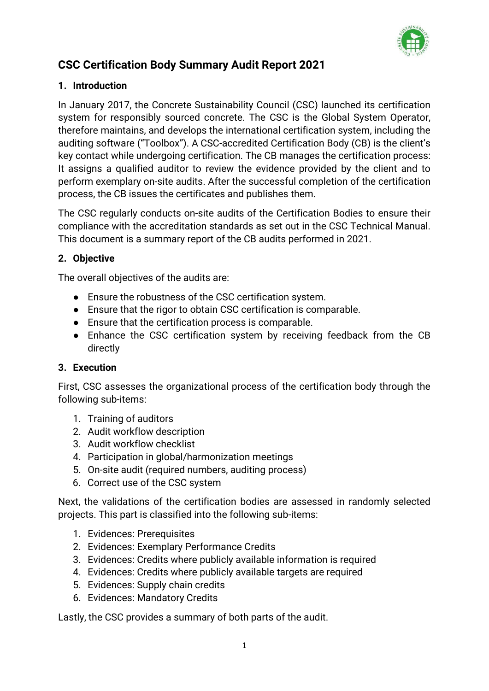

# **CSC Certification Body Summary Audit Report 2021**

#### **1. Introduction**

In January 2017, the Concrete Sustainability Council (CSC) launched its certification system for responsibly sourced concrete. The CSC is the Global System Operator, therefore maintains, and develops the international certification system, including the auditing software ("Toolbox"). A CSC-accredited Certification Body (CB) is the client's key contact while undergoing certification. The CB manages the certification process: It assigns a qualified auditor to review the evidence provided by the client and to perform exemplary on-site audits. After the successful completion of the certification process, the CB issues the certificates and publishes them.

The CSC regularly conducts on-site audits of the Certification Bodies to ensure their compliance with the accreditation standards as set out in the CSC Technical Manual. This document is a summary report of the CB audits performed in 2021.

# **2. Objective**

The overall objectives of the audits are:

- Ensure the robustness of the CSC certification system.
- Ensure that the rigor to obtain CSC certification is comparable.
- Ensure that the certification process is comparable.
- Enhance the CSC certification system by receiving feedback from the CB directly

#### **3. Execution**

First, CSC assesses the organizational process of the certification body through the following sub-items:

- 1. Training of auditors
- 2. Audit workflow description
- 3. Audit workflow checklist
- 4. Participation in global/harmonization meetings
- 5. On-site audit (required numbers, auditing process)
- 6. Correct use of the CSC system

Next, the validations of the certification bodies are assessed in randomly selected projects. This part is classified into the following sub-items:

- 1. Evidences: Prerequisites
- 2. Evidences: Exemplary Performance Credits
- 3. Evidences: Credits where publicly available information is required
- 4. Evidences: Credits where publicly available targets are required
- 5. Evidences: Supply chain credits
- 6. Evidences: Mandatory Credits

Lastly, the CSC provides a summary of both parts of the audit.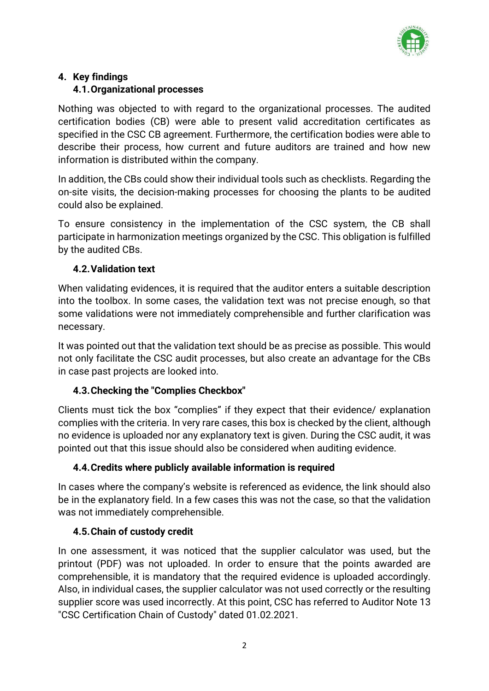

# **4. Key findings**

## **4.1.Organizational processes**

Nothing was objected to with regard to the organizational processes. The audited certification bodies (CB) were able to present valid accreditation certificates as specified in the CSC CB agreement. Furthermore, the certification bodies were able to describe their process, how current and future auditors are trained and how new information is distributed within the company.

In addition, the CBs could show their individual tools such as checklists. Regarding the on-site visits, the decision-making processes for choosing the plants to be audited could also be explained.

To ensure consistency in the implementation of the CSC system, the CB shall participate in harmonization meetings organized by the CSC. This obligation is fulfilled by the audited CBs.

## **4.2.Validation text**

When validating evidences, it is required that the auditor enters a suitable description into the toolbox. In some cases, the validation text was not precise enough, so that some validations were not immediately comprehensible and further clarification was necessary.

It was pointed out that the validation text should be as precise as possible. This would not only facilitate the CSC audit processes, but also create an advantage for the CBs in case past projects are looked into.

# **4.3.Checking the "Complies Checkbox"**

Clients must tick the box "complies" if they expect that their evidence/ explanation complies with the criteria. In very rare cases, this box is checked by the client, although no evidence is uploaded nor any explanatory text is given. During the CSC audit, it was pointed out that this issue should also be considered when auditing evidence.

#### **4.4.Credits where publicly available information is required**

In cases where the company's website is referenced as evidence, the link should also be in the explanatory field. In a few cases this was not the case, so that the validation was not immediately comprehensible.

# **4.5.Chain of custody credit**

In one assessment, it was noticed that the supplier calculator was used, but the printout (PDF) was not uploaded. In order to ensure that the points awarded are comprehensible, it is mandatory that the required evidence is uploaded accordingly. Also, in individual cases, the supplier calculator was not used correctly or the resulting supplier score was used incorrectly. At this point, CSC has referred to Auditor Note 13 "CSC Certification Chain of Custody" dated 01.02.2021.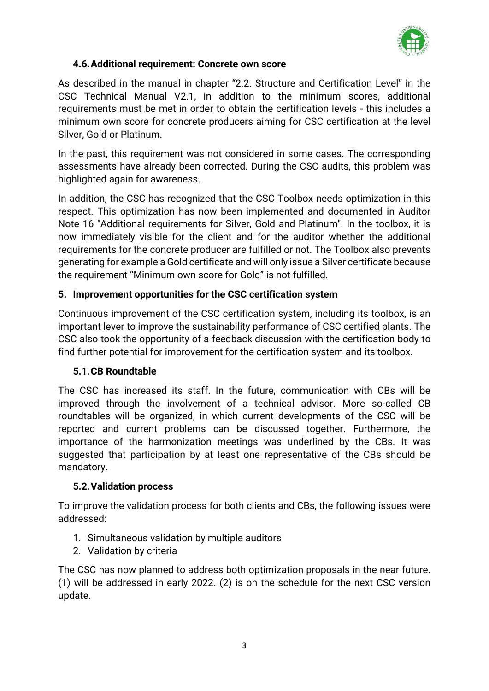

### **4.6.Additional requirement: Concrete own score**

As described in the manual in chapter "2.2. Structure and Certification Level" in the CSC Technical Manual V2.1, in addition to the minimum scores, additional requirements must be met in order to obtain the certification levels - this includes a minimum own score for concrete producers aiming for CSC certification at the level Silver, Gold or Platinum.

In the past, this requirement was not considered in some cases. The corresponding assessments have already been corrected. During the CSC audits, this problem was highlighted again for awareness.

In addition, the CSC has recognized that the CSC Toolbox needs optimization in this respect. This optimization has now been implemented and documented in Auditor Note 16 "Additional requirements for Silver, Gold and Platinum". In the toolbox, it is now immediately visible for the client and for the auditor whether the additional requirements for the concrete producer are fulfilled or not. The Toolbox also prevents generating for example a Gold certificate and will only issue a Silver certificate because the requirement "Minimum own score for Gold" is not fulfilled.

## **5. Improvement opportunities for the CSC certification system**

Continuous improvement of the CSC certification system, including its toolbox, is an important lever to improve the sustainability performance of CSC certified plants. The CSC also took the opportunity of a feedback discussion with the certification body to find further potential for improvement for the certification system and its toolbox.

#### **5.1.CB Roundtable**

The CSC has increased its staff. In the future, communication with CBs will be improved through the involvement of a technical advisor. More so-called CB roundtables will be organized, in which current developments of the CSC will be reported and current problems can be discussed together. Furthermore, the importance of the harmonization meetings was underlined by the CBs. It was suggested that participation by at least one representative of the CBs should be mandatory.

#### **5.2.Validation process**

To improve the validation process for both clients and CBs, the following issues were addressed:

- 1. Simultaneous validation by multiple auditors
- 2. Validation by criteria

The CSC has now planned to address both optimization proposals in the near future. (1) will be addressed in early 2022. (2) is on the schedule for the next CSC version update.